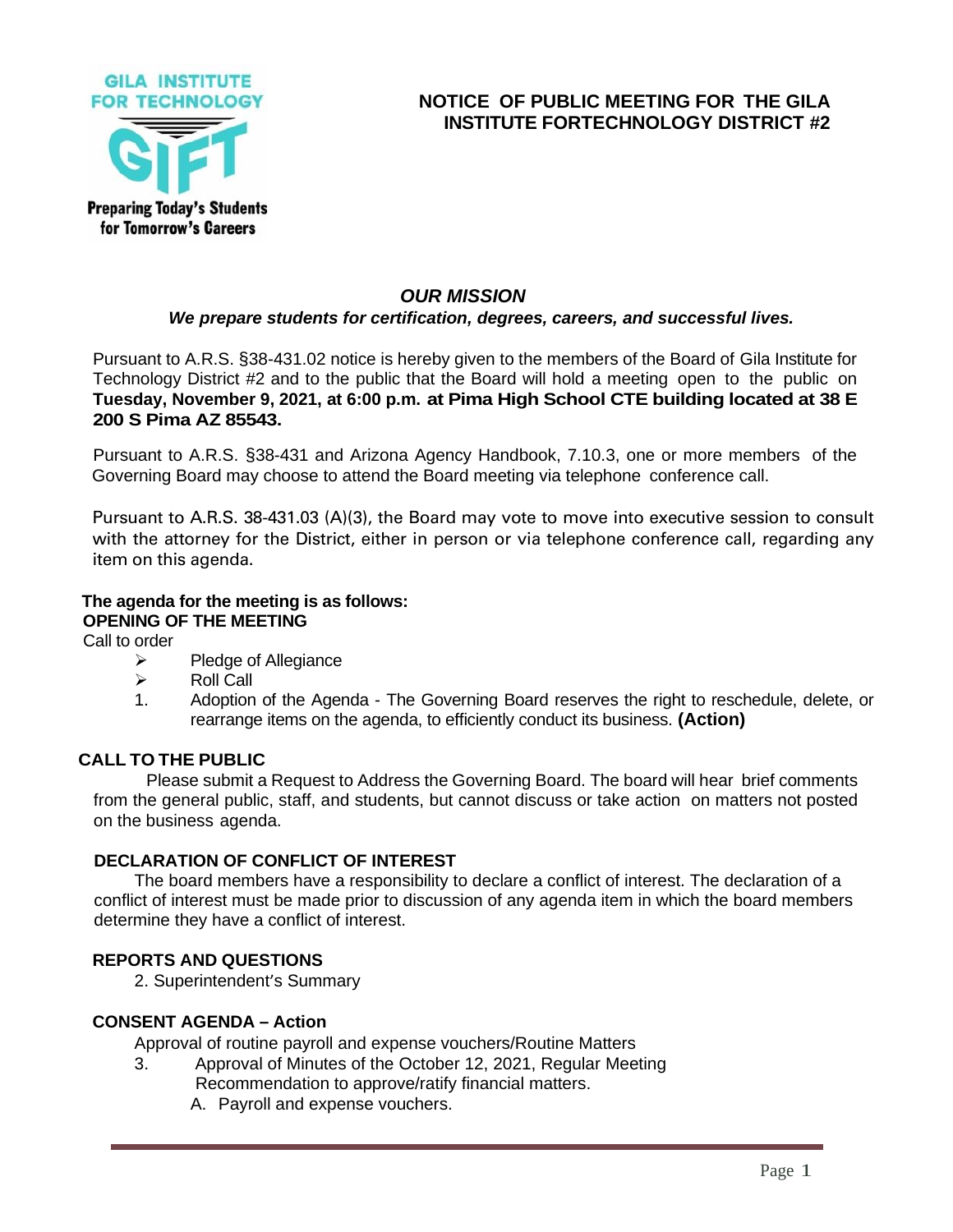

# **NOTICE OF PUBLIC MEETING FOR THE GILA INSTITUTE FORTECHNOLOGY DISTRICT #2**

# *OUR MISSION*

#### *We prepare students for certification, degrees, careers, and successful lives.*

Pursuant to A.R.S. §38-431.02 notice is hereby given to the members of the Board of Gila Institute for Technology District #2 and to the public that the Board will hold a meeting open to the public on **Tuesday, November 9, 2021, at 6:00 p.m. at Pima High School CTE building located at 38 E 200 S Pima AZ 85543.**

Pursuant to A.R.S. §38-431 and Arizona Agency Handbook, 7.10.3, one or more members of the Governing Board may choose to attend the Board meeting via telephone conference call.

Pursuant to A.R.S. 38-431.03 (A)(3), the Board may vote to move into executive session to consult with the attorney for the District, either in person or via telephone conference call, regarding any item on this agenda.

# **The agenda for the meeting is as follows: OPENING OF THE MEETING**

Call to order

- ➢ Pledge of Allegiance
- ➢ Roll Call
- 1. Adoption of the Agenda The Governing Board reserves the right to reschedule, delete, or rearrange items on the agenda, to efficiently conduct its business. **(Action)**

# **CALL TO THE PUBLIC**

Please submit a Request to Address the Governing Board. The board will hear brief comments from the general public, staff, and students, but cannot discuss or take action on matters not posted on the business agenda.

#### **DECLARATION OF CONFLICT OF INTEREST**

The board members have a responsibility to declare a conflict of interest. The declaration of a conflict of interest must be made prior to discussion of any agenda item in which the board members determine they have a conflict of interest.

# **REPORTS AND QUESTIONS**

2. Superintendent's Summary

### **CONSENT AGENDA – Action**

Approval of routine payroll and expense vouchers/Routine Matters

- 3. Approval of Minutes of the October 12, 2021, Regular Meeting Recommendation to approve/ratify financial matters.
	- A. Payroll and expense vouchers.